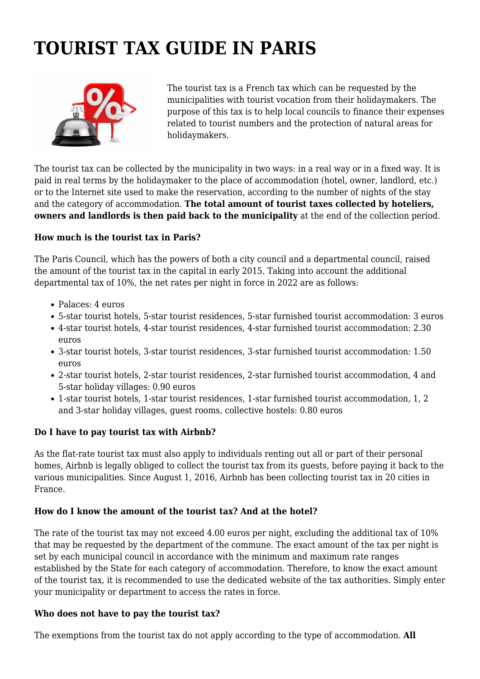# **TOURIST TAX GUIDE IN PARIS**



The tourist tax is a French tax which can be requested by the municipalities with tourist vocation from their holidaymakers. The purpose of this tax is to help local councils to finance their expenses related to tourist numbers and the protection of natural areas for holidaymakers.

The tourist tax can be collected by the municipality in two ways: in a real way or in a fixed way. It is paid in real terms by the holidaymaker to the place of accommodation (hotel, owner, landlord, etc.) or to the Internet site used to make the reservation, according to the number of nights of the stay and the category of accommodation. **The total amount of tourist taxes collected by hoteliers, owners and landlords is then paid back to the municipality** at the end of the collection period.

# **How much is the tourist tax in Paris?**

The Paris Council, which has the powers of both a city council and a departmental council, raised the amount of the tourist tax in the capital in early 2015. Taking into account the additional departmental tax of 10%, the net rates per night in force in 2022 are as follows:

- Palaces: 4 euros
- 5-star tourist hotels, 5-star tourist residences, 5-star furnished tourist accommodation: 3 euros
- 4-star tourist hotels, 4-star tourist residences, 4-star furnished tourist accommodation: 2.30 euros
- 3-star tourist hotels, 3-star tourist residences, 3-star furnished tourist accommodation: 1.50 euros
- 2-star tourist hotels, 2-star tourist residences, 2-star furnished tourist accommodation, 4 and 5-star holiday villages: 0.90 euros
- 1-star tourist hotels, 1-star tourist residences, 1-star furnished tourist accommodation, 1, 2 and 3-star holiday villages, guest rooms, collective hostels: 0.80 euros

### **Do I have to pay tourist tax with Airbnb?**

As the flat-rate tourist tax must also apply to individuals renting out all or part of their personal homes, Airbnb is legally obliged to collect the tourist tax from its guests, before paying it back to the various municipalities. Since August 1, 2016, Airbnb has been collecting tourist tax in 20 cities in France.

# **How do I know the amount of the tourist tax? And at the hotel?**

The rate of the tourist tax may not exceed 4.00 euros per night, excluding the additional tax of 10% that may be requested by the department of the commune. The exact amount of the tax per night is set by each municipal council in accordance with the minimum and maximum rate ranges established by the State for each category of accommodation. Therefore, to know the exact amount of the tourist tax, it is recommended to use the dedicated website of the tax authorities. Simply enter your municipality or department to access the rates in force.

### **Who does not have to pay the tourist tax?**

The exemptions from the tourist tax do not apply according to the type of accommodation. **All**